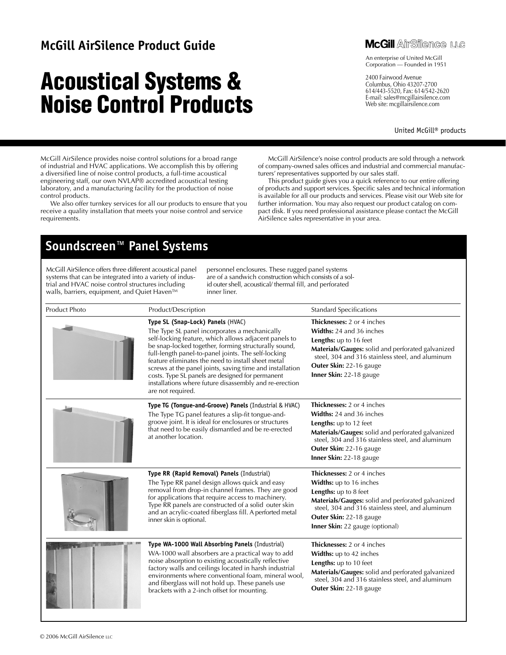### **McGill AirSilence Product Guide**

# **Acoustical Systems & Noise Control Products**



An enterprise of United McGill Corporation — Founded in 1951

2400 Fairwood Avenue Columbus, Ohio 43207-2700 614/443-5520, Fax: 614/542-2620 E-mail: sales@mcgillairsilence.com Web site: mcgillairsilence.com

United McGill® products

McGill AirSilence provides noise control solutions for a broad range of industrial and HVAC applications. We accomplish this by offering a diversified line of noise control products, a full-time acoustical engineering staff, our own NVLAP® accredited acoustical testing laboratory, and a manufacturing facility for the production of noise control products.

We also offer turnkey services for all our products to ensure that you receive a quality installation that meets your noise control and service requirements.

McGill AirSilence's noise control products are sold through a network of company-owned sales offices and industrial and commercial manufacturers' representatives supported by our sales staff.

This product guide gives you a quick reference to our entire offering of products and support services. Specific sales and technical information is available for all our products and services. Please visit our Web site for further information. You may also request our product catalog on compact disk. If you need professional assistance please contact the McGill AirSilence sales representative in your area.

## **Soundscreen™ Panel Systems**

McGill AirSilence offers three different acoustical panel systems that can be integrated into a variety of industrial and HVAC noise control structures including walls, barriers, equipment, and Quiet Haven™

personnel enclosures. These rugged panel systems are of a sandwich construction which consists of a solid outer shell, acoustical/ thermal fill, and perforated inner liner.

| <b>Product Photo</b> | Product/Description                                                                                                                                                                                                                                                                                                                                                                                                                                                                                             | <b>Standard Specifications</b>                                                                                                                                                                                                                         |
|----------------------|-----------------------------------------------------------------------------------------------------------------------------------------------------------------------------------------------------------------------------------------------------------------------------------------------------------------------------------------------------------------------------------------------------------------------------------------------------------------------------------------------------------------|--------------------------------------------------------------------------------------------------------------------------------------------------------------------------------------------------------------------------------------------------------|
|                      | Type SL (Snap-Lock) Panels (HVAC)<br>The Type SL panel incorporates a mechanically<br>self-locking feature, which allows adjacent panels to<br>be snap-locked together, forming structurally sound,<br>full-length panel-to-panel joints. The self-locking<br>feature eliminates the need to install sheet metal<br>screws at the panel joints, saving time and installation<br>costs. Type SL panels are designed for permanent<br>installations where future disassembly and re-erection<br>are not required. | <b>Thicknesses:</b> 2 or 4 inches<br>Widths: 24 and 36 inches<br>Lengths: up to 16 feet<br>Materials/Gauges: solid and perforated galvanized<br>steel, 304 and 316 stainless steel, and aluminum<br>Outer Skin: 22-16 gauge<br>Inner Skin: 22-18 gauge |
|                      | Type TG (Tongue-and-Groove) Panels (Industrial & HVAC)<br>The Type TG panel features a slip-fit tongue-and-<br>groove joint. It is ideal for enclosures or structures<br>that need to be easily dismantled and be re-erected<br>at another location.                                                                                                                                                                                                                                                            | Thicknesses: 2 or 4 inches<br><b>Widths:</b> 24 and 36 inches<br>Lengths: up to 12 feet<br>Materials/Gauges: solid and perforated galvanized<br>steel, 304 and 316 stainless steel, and aluminum<br>Outer Skin: 22-16 gauge<br>Inner Skin: 22-18 gauge |
|                      | Type RR (Rapid Removal) Panels (Industrial)<br>The Type RR panel design allows quick and easy<br>removal from drop-in channel frames. They are good<br>for applications that require access to machinery.<br>Type RR panels are constructed of a solid outer skin<br>and an acrylic-coated fiberglass fill. A perforted metal<br>inner skin is optional.                                                                                                                                                        | Thicknesses: 2 or 4 inches<br>Widths: up to 16 inches<br>Lengths: up to 8 feet<br>Materials/Gauges: solid and perforated galvanized<br>steel, 304 and 316 stainless steel, and aluminum<br>Outer Skin: 22-18 gauge<br>Inner Skin: 22 gauge (optional)  |
|                      | Type WA-1000 Wall Absorbing Panels (Industrial)<br>WA-1000 wall absorbers are a practical way to add<br>noise absorption to existing acoustically reflective<br>factory walls and ceilings located in harsh industrial<br>environments where conventional foam, mineral wool,<br>and fiberglass will not hold up. These panels use<br>brackets with a 2-inch offset for mounting.                                                                                                                               | Thicknesses: 2 or 4 inches<br>Widths: up to 42 inches<br>Lengths: up to 10 feet<br>Materials/Gauges: solid and perforated galvanized<br>steel, 304 and 316 stainless steel, and aluminum<br>Outer Skin: 22-18 gauge                                    |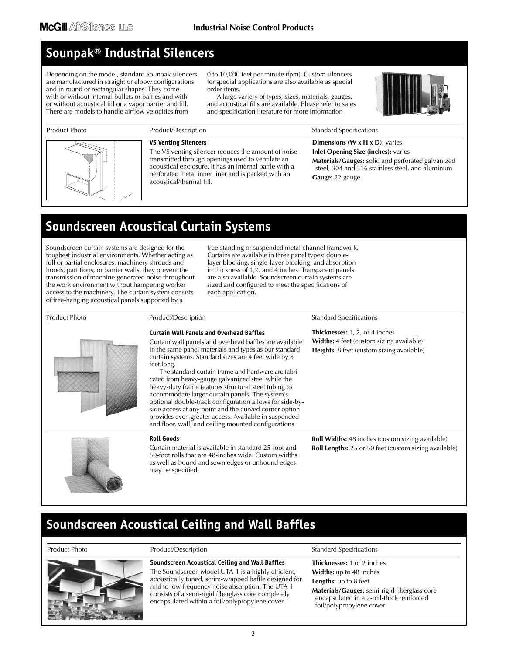## **Sounpak® Industrial Silencers**

Depending on the model, standard Sounpak silencers are manufactured in straight or elbow configurations and in round or rectangular shapes. They come with or without internal bullets or baffles and with or without acoustical fill or a vapor barrier and fill. There are models to handle airflow velocities from

0 to 10,000 feet per minute (fpm). Custom silencers for special applications are also available as special order items.

A large variery of types, sizes, materials, gauges, and acoustical fills are available. Please refer to sales and specification literature for more information





### **VS Venting Silencers**

The VS venting silencer reduces the amount of noise transmitted through openings used to ventilate an acoustical enclosure. It has an internal baffle with a perforated metal inner liner and is packed with an acoustical/thermal fill.

### **Dimensions (W x H x D):** varies **Inlet Opening Size (inches):** varies

**Materials/Gauges:** solid and perforated galvanized steel, 304 and 316 stainless steel, and aluminum **Gauge:** 22 gauge

## **Soundscreen Acoustical Curtain Systems**

Soundscreen curtain systems are designed for the toughest industrial environments. Whether acting as full or partial enclosures, machinery shrouds and hoods, partitions, or barrier walls, they prevent the transmission of machine-generated noise throughout the work environment without hampering worker access to the machinery. The curtain system consists of free-hanging acoustical panels supported by a

free-standing or suspended metal channel framework. Curtains are available in three panel types: doublelayer blocking, single-layer blocking, and absorption in thickness of 1,2, and 4 inches. Transparent panels are also available. Soundscreen curtain systems are sized and configured to meet the specifications of each application.

| Product Photo | Product/Description                                                                                                                                                                                                                                                                                                                                                                                                                                                                                                                                                                                                                                                                                | <b>Standard Specifications</b>                                                                                                        |
|---------------|----------------------------------------------------------------------------------------------------------------------------------------------------------------------------------------------------------------------------------------------------------------------------------------------------------------------------------------------------------------------------------------------------------------------------------------------------------------------------------------------------------------------------------------------------------------------------------------------------------------------------------------------------------------------------------------------------|---------------------------------------------------------------------------------------------------------------------------------------|
|               | <b>Curtain Wall Panels and Overhead Baffles</b><br>Curtain wall panels and overhead baffles are available<br>in the same panel materials and types as our standard<br>curtain systems. Standard sizes are 4 feet wide by 8<br>feet long.<br>The standard curtain frame and hardware are fabri-<br>cated from heavy-gauge galvanized steel while the<br>heavy-duty frame features structural steel tubing to<br>accommodate larger curtain panels. The system's<br>optional double-track configuration allows for side-by-<br>side access at any point and the curved corner option<br>provides even greater access. Available in suspended<br>and floor, wall, and ceiling mounted configurations. | <b>Thicknesses:</b> 1, 2, or 4 inches<br><b>Widths:</b> 4 feet (custom sizing available)<br>Heights: 8 feet (custom sizing available) |
|               | <b>Roll Goods</b><br>Curtain material is available in standard 25-foot and<br>50-foot rolls that are 48-inches wide. Custom widths<br>as well as bound and sewn edges or unbound edges<br>may be specified.                                                                                                                                                                                                                                                                                                                                                                                                                                                                                        | <b>Roll Widths:</b> 48 inches (custom sizing available)<br>Roll Lengths: 25 or 50 feet (custom sizing available)                      |

## **Soundscreen Acoustical Ceiling and Wall Baffles**



### **Soundscreen Acoustical Ceiling and Wall Baffles**

The Soundscreen Model UTA-1 is a highly efficient, acoustically tuned, scrim-wrapped baffle designed for mid to low frequency noise absorption. The UTA-1 consists of a semi-rigid fiberglass core completely encapsulated within a foil/polypropylene cover.

### Product Photo **Product Product Product Product Product Photo** Product Photo Product Photo Product Photo Product P

**Thicknesses:** 1 or 2 inches **Widths:** up to 48 inches

### **Lengths:** up to 8 feet

**Materials/Gauges:** semi-rigid fiberglass core encapsulated in a 2-mil-thick reinforced foil/polypropylene cover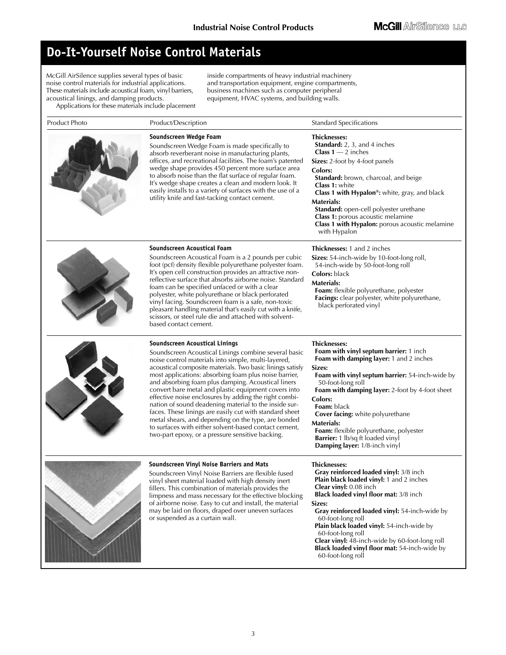## **Do-It-Yourself Noise Control Materials**

McGill AirSilence supplies several types of basic noise control materials for industrial applications. These materials include acoustical foam, vinyl barriers, acoustical linings, and damping products.

Applications for these materials include placement

inside compartments of heavy industrial machinery and transportation equipment, engine compartments, business machines such as computer peripheral equipment, HVAC systems, and building walls.

| Product Photo | Product/Description                                                                                                                                                                                                                                                                                                                                                                                                                                                                                                                                                                                                                                                                                                                | <b>Standard Specifications</b>                                                                                                                                                                                                                                                                                                                                                                                                                                 |  |  |
|---------------|------------------------------------------------------------------------------------------------------------------------------------------------------------------------------------------------------------------------------------------------------------------------------------------------------------------------------------------------------------------------------------------------------------------------------------------------------------------------------------------------------------------------------------------------------------------------------------------------------------------------------------------------------------------------------------------------------------------------------------|----------------------------------------------------------------------------------------------------------------------------------------------------------------------------------------------------------------------------------------------------------------------------------------------------------------------------------------------------------------------------------------------------------------------------------------------------------------|--|--|
|               | Soundscreen Wedge Foam<br>Soundscreen Wedge Foam is made specifically to<br>absorb reverberant noise in manufacturing plants,<br>offices, and recreational facilities. The foam's patented<br>wedge shape provides 450 percent more surface area<br>to absorb noise than the flat surface of regular foam.<br>It's wedge shape creates a clean and modern look. It<br>easily installs to a variety of surfaces with the use of a<br>utility knife and fast-tacking contact cement.                                                                                                                                                                                                                                                 | <b>Thicknesses:</b><br>Standard: 2, 3, and 4 inches<br><b>Class 1</b> $-$ 2 inches<br>Sizes: 2-foot by 4-foot panels<br>Colors:<br>Standard: brown, charcoal, and beige<br><b>Class 1: white</b><br>Class 1 with Hypalon®: white, gray, and black<br><b>Materials:</b><br>Standard: open-cell polyester urethane<br>Class 1: porous acoustic melamine<br>Class 1 with Hypalon: porous acoustic melamine<br>with Hypalon                                        |  |  |
|               | Soundscreen Acoustical Foam<br>Soundscreen Acoustical Foam is a 2 pounds per cubic<br>foot (pcf) density flexible polyurethane polyester foam.<br>It's open cell construction provides an attractive non-<br>reflective surface that absorbs airborne noise. Standard<br>foam can be specified unfaced or with a clear<br>polyester, white polyurethane or black perforated<br>vinyl facing. Soundscreen foam is a safe, non-toxic<br>pleasant handling material that's easily cut with a knife,<br>scissors, or steel rule die and attached with solvent-<br>based contact cement.                                                                                                                                                | Thicknesses: 1 and 2 inches<br>Sizes: 54-inch-wide by 10-foot-long roll,<br>54-inch-wide by 50-foot-long roll<br><b>Colors:</b> black<br>Materials:<br>Foam: flexible polyurethane, polyester<br>Facings: clear polyester, white polyurethane,<br>black perforated vinyl                                                                                                                                                                                       |  |  |
|               | Soundscreen Acoustical Linings<br>Soundscreen Acoustical Linings combine several basic<br>noise control materials into simple, multi-layered,<br>acoustical composite materials. Two basic linings satisfy<br>most applications: absorbing foam plus noise barrier,<br>and absorbing foam plus damping. Acoustical liners<br>convert bare metal and plastic equipment covers into<br>effective noise enclosures by adding the right combi-<br>nation of sound deadening material to the inside sur-<br>faces. These linings are easily cut with standard sheet<br>metal shears, and depending on the type, are bonded<br>to surfaces with either solvent-based contact cement,<br>two-part epoxy, or a pressure sensitive backing. | Thicknesses:<br>Foam with vinyl septum barrier: 1 inch<br>Foam with damping layer: 1 and 2 inches<br>Sizes:<br>Foam with vinyl septum barrier: 54-inch-wide by<br>50-foot-long roll<br>Foam with damping layer: 2-foot by 4-foot sheet<br>Colors:<br>Foam: black<br>Cover facing: white polyurethane<br><b>Materials:</b><br>Foam: flexible polyurethane, polyester<br><b>Barrier:</b> 1 lb/sq ft loaded vinyl<br>Damping layer: 1/8-inch vinyl                |  |  |
|               | Soundscreen Vinyl Noise Barriers and Mats<br>Soundscreen Vinyl Noise Barriers are flexible fused<br>vinyl sheet material loaded with high density inert<br>fillers. This combination of materials provides the<br>limpness and mass necessary for the effective blocking<br>of airborne noise. Easy to cut and install, the material<br>may be laid on floors, draped over uneven surfaces<br>or suspended as a curtain wall.                                                                                                                                                                                                                                                                                                      | <b>Thicknesses:</b><br>Gray reinforced loaded vinyl: 3/8 inch<br>Plain black loaded vinyl: 1 and 2 inches<br><b>Clear vinyl:</b> 0.08 inch<br>Black loaded vinyl floor mat: 3/8 inch<br>Sizes:<br>Gray reinforced loaded vinyl: 54-inch-wide by<br>60-foot-long roll<br>Plain black loaded vinyl: 54-inch-wide by<br>60-foot-long roll<br>Clear vinyl: 48-inch-wide by 60-foot-long roll<br>Black loaded vinyl floor mat: 54-inch-wide by<br>60-foot-long roll |  |  |